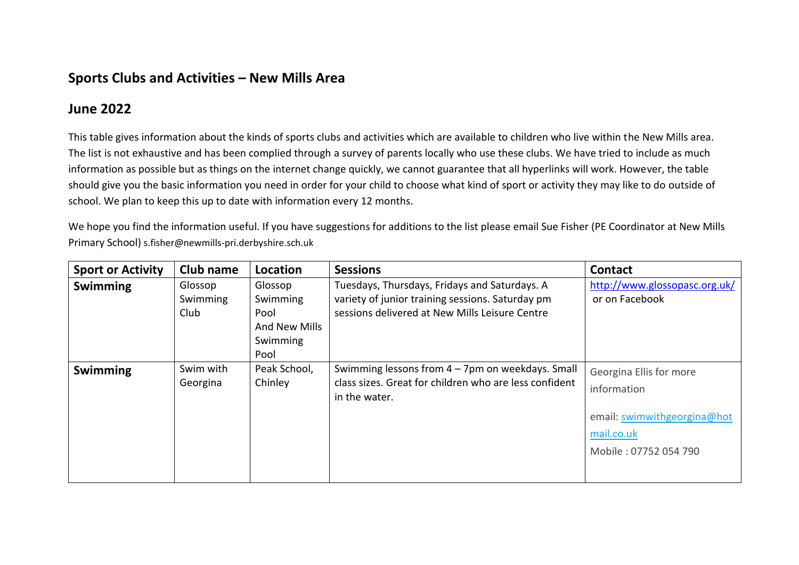## **Sports Clubs and Activities – New Mills Area**

## **June 2022**

This table gives information about the kinds of sports clubs and activities which are available to children who live within the New Mills area. The list is not exhaustive and has been complied through a survey of parents locally who use these clubs. We have tried to include as much information as possible but as things on the internet change quickly, we cannot guarantee that all hyperlinks will work. However, the table should give you the basic information you need in order for your child to choose what kind of sport or activity they may like to do outside of school. We plan to keep this up to date with information every 12 months.

We hope you find the information useful. If you have suggestions for additions to the list please email Sue Fisher (PE Coordinator at New Mills Primary School) s.fisher@newmills-pri.derbyshire.sch.uk

| <b>Sport or Activity</b> | Club name                   | Location                                                         | <b>Sessions</b>                                                                                                                                     | <b>Contact</b>                                                                                               |
|--------------------------|-----------------------------|------------------------------------------------------------------|-----------------------------------------------------------------------------------------------------------------------------------------------------|--------------------------------------------------------------------------------------------------------------|
| <b>Swimming</b>          | Glossop<br>Swimming<br>Club | Glossop<br>Swimming<br>Pool<br>And New Mills<br>Swimming<br>Pool | Tuesdays, Thursdays, Fridays and Saturdays. A<br>variety of junior training sessions. Saturday pm<br>sessions delivered at New Mills Leisure Centre | http://www.glossopasc.org.uk/<br>or on Facebook                                                              |
| <b>Swimming</b>          | Swim with<br>Georgina       | Peak School,<br>Chinley                                          | Swimming lessons from $4 - 7$ pm on weekdays. Small<br>class sizes. Great for children who are less confident<br>in the water.                      | Georgina Ellis for more<br>information<br>email: swimwithgeorgina@hot<br>mail.co.uk<br>Mobile: 07752 054 790 |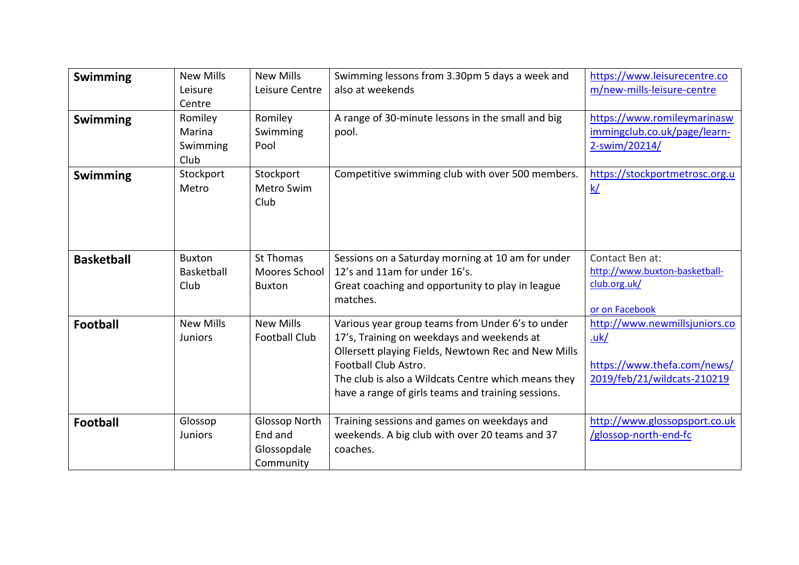| <b>Swimming</b>   | <b>New Mills</b><br>Leisure<br>Centre | <b>New Mills</b><br>Leisure Centre                          | Swimming lessons from 3.30pm 5 days a week and<br>also at weekends                                                                                                                                                                                                                         | https://www.leisurecentre.co<br>m/new-mills-leisure-centre                                                 |
|-------------------|---------------------------------------|-------------------------------------------------------------|--------------------------------------------------------------------------------------------------------------------------------------------------------------------------------------------------------------------------------------------------------------------------------------------|------------------------------------------------------------------------------------------------------------|
| <b>Swimming</b>   | Romiley<br>Marina<br>Swimming<br>Club | Romiley<br>Swimming<br>Pool                                 | A range of 30-minute lessons in the small and big<br>pool.                                                                                                                                                                                                                                 | https://www.romileymarinasw<br>immingclub.co.uk/page/learn-<br>2-swim/20214/                               |
| <b>Swimming</b>   | Stockport<br>Metro                    | Stockport<br>Metro Swim<br>Club                             | Competitive swimming club with over 500 members.                                                                                                                                                                                                                                           | https://stockportmetrosc.org.u<br>$\underline{k}/$                                                         |
| <b>Basketball</b> | <b>Buxton</b><br>Basketball<br>Club   | St Thomas<br>Moores School<br><b>Buxton</b>                 | Sessions on a Saturday morning at 10 am for under<br>12's and 11am for under 16's.<br>Great coaching and opportunity to play in league<br>matches.                                                                                                                                         | Contact Ben at:<br>http://www.buxton-basketball-<br>club.org.uk/<br>or on Facebook                         |
| <b>Football</b>   | <b>New Mills</b><br><b>Juniors</b>    | <b>New Mills</b><br><b>Football Club</b>                    | Various year group teams from Under 6's to under<br>17's, Training on weekdays and weekends at<br>Ollersett playing Fields, Newtown Rec and New Mills<br>Football Club Astro.<br>The club is also a Wildcats Centre which means they<br>have a range of girls teams and training sessions. | http://www.newmillsjuniors.co<br><u>.uk/</u><br>https://www.thefa.com/news/<br>2019/feb/21/wildcats-210219 |
| <b>Football</b>   | Glossop<br><b>Juniors</b>             | <b>Glossop North</b><br>End and<br>Glossopdale<br>Community | Training sessions and games on weekdays and<br>weekends. A big club with over 20 teams and 37<br>coaches.                                                                                                                                                                                  | http://www.glossopsport.co.uk<br>/glossop-north-end-fc                                                     |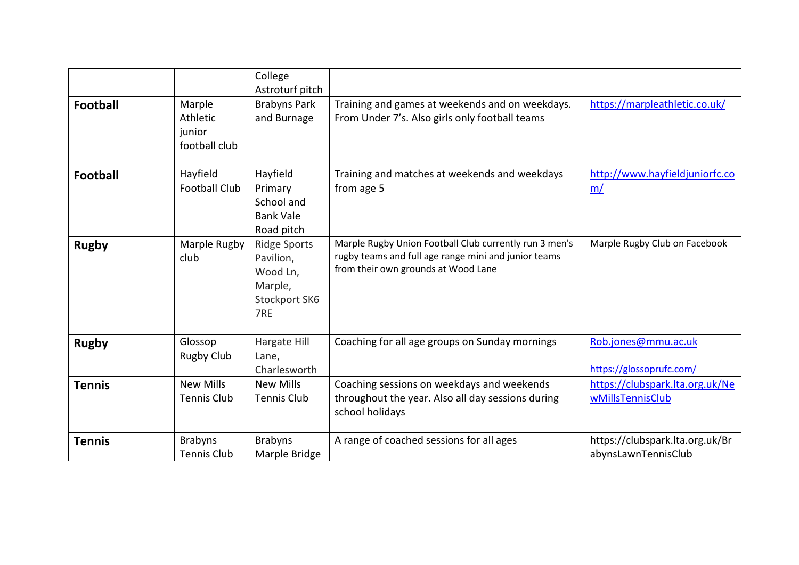|                 |                                               | College<br>Astroturf pitch                                                      |                                                                                                                                                       |                                                        |
|-----------------|-----------------------------------------------|---------------------------------------------------------------------------------|-------------------------------------------------------------------------------------------------------------------------------------------------------|--------------------------------------------------------|
| <b>Football</b> | Marple<br>Athletic<br>junior<br>football club | <b>Brabyns Park</b><br>and Burnage                                              | Training and games at weekends and on weekdays.<br>From Under 7's. Also girls only football teams                                                     | https://marpleathletic.co.uk/                          |
| <b>Football</b> | Hayfield<br><b>Football Club</b>              | Hayfield<br>Primary<br>School and<br><b>Bank Vale</b><br>Road pitch             | Training and matches at weekends and weekdays<br>from age 5                                                                                           | http://www.hayfieldjuniorfc.co<br>m/                   |
| <b>Rugby</b>    | Marple Rugby<br>club                          | <b>Ridge Sports</b><br>Pavilion,<br>Wood Ln,<br>Marple,<br>Stockport SK6<br>7RE | Marple Rugby Union Football Club currently run 3 men's<br>rugby teams and full age range mini and junior teams<br>from their own grounds at Wood Lane | Marple Rugby Club on Facebook                          |
| <b>Rugby</b>    | Glossop<br><b>Rugby Club</b>                  | Hargate Hill<br>Lane,<br>Charlesworth                                           | Coaching for all age groups on Sunday mornings                                                                                                        | Rob.jones@mmu.ac.uk<br>https://glossoprufc.com/        |
| <b>Tennis</b>   | <b>New Mills</b><br><b>Tennis Club</b>        | <b>New Mills</b><br><b>Tennis Club</b>                                          | Coaching sessions on weekdays and weekends<br>throughout the year. Also all day sessions during<br>school holidays                                    | https://clubspark.lta.org.uk/Ne<br>wMillsTennisClub    |
| <b>Tennis</b>   | <b>Brabyns</b><br><b>Tennis Club</b>          | <b>Brabyns</b><br>Marple Bridge                                                 | A range of coached sessions for all ages                                                                                                              | https://clubspark.lta.org.uk/Br<br>abynsLawnTennisClub |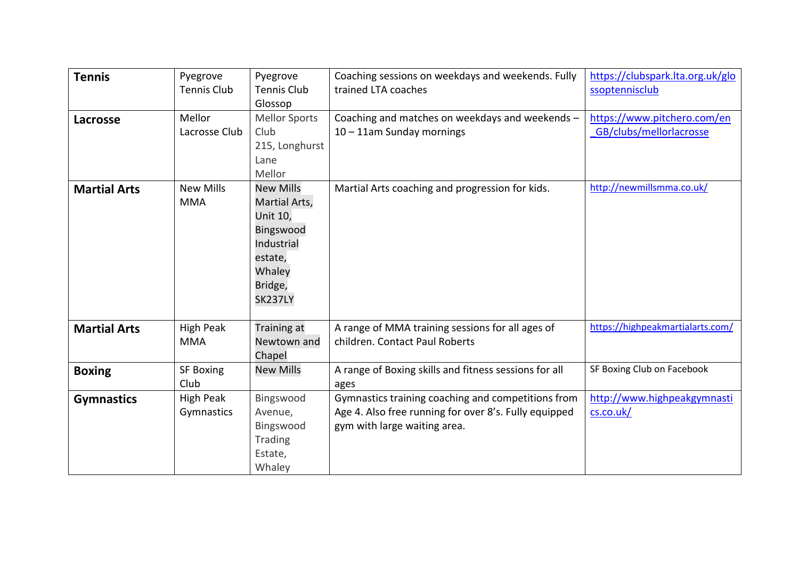| <b>Tennis</b>       | Pyegrove<br><b>Tennis Club</b> | Pyegrove<br><b>Tennis Club</b><br>Glossop                                                                                  | Coaching sessions on weekdays and weekends. Fully<br>trained LTA coaches                                                                    | https://clubspark.lta.org.uk/glo<br>ssoptennisclub     |
|---------------------|--------------------------------|----------------------------------------------------------------------------------------------------------------------------|---------------------------------------------------------------------------------------------------------------------------------------------|--------------------------------------------------------|
| Lacrosse            | Mellor<br>Lacrosse Club        | <b>Mellor Sports</b><br>Club<br>215, Longhurst<br>Lane<br>Mellor                                                           | Coaching and matches on weekdays and weekends -<br>10 - 11am Sunday mornings                                                                | https://www.pitchero.com/en<br>GB/clubs/mellorlacrosse |
| <b>Martial Arts</b> | <b>New Mills</b><br><b>MMA</b> | <b>New Mills</b><br>Martial Arts,<br>Unit 10,<br>Bingswood<br>Industrial<br>estate,<br>Whaley<br>Bridge,<br><b>SK237LY</b> | Martial Arts coaching and progression for kids.                                                                                             | http://newmillsmma.co.uk/                              |
| <b>Martial Arts</b> | <b>High Peak</b><br><b>MMA</b> | Training at<br>Newtown and<br>Chapel                                                                                       | A range of MMA training sessions for all ages of<br>children. Contact Paul Roberts                                                          | https://highpeakmartialarts.com/                       |
| <b>Boxing</b>       | <b>SF Boxing</b><br>Club       | <b>New Mills</b>                                                                                                           | A range of Boxing skills and fitness sessions for all<br>ages                                                                               | SF Boxing Club on Facebook                             |
| <b>Gymnastics</b>   | High Peak<br>Gymnastics        | Bingswood<br>Avenue,<br>Bingswood<br><b>Trading</b><br>Estate,<br>Whaley                                                   | Gymnastics training coaching and competitions from<br>Age 4. Also free running for over 8's. Fully equipped<br>gym with large waiting area. | http://www.highpeakgymnasti<br>cs.co.uk/               |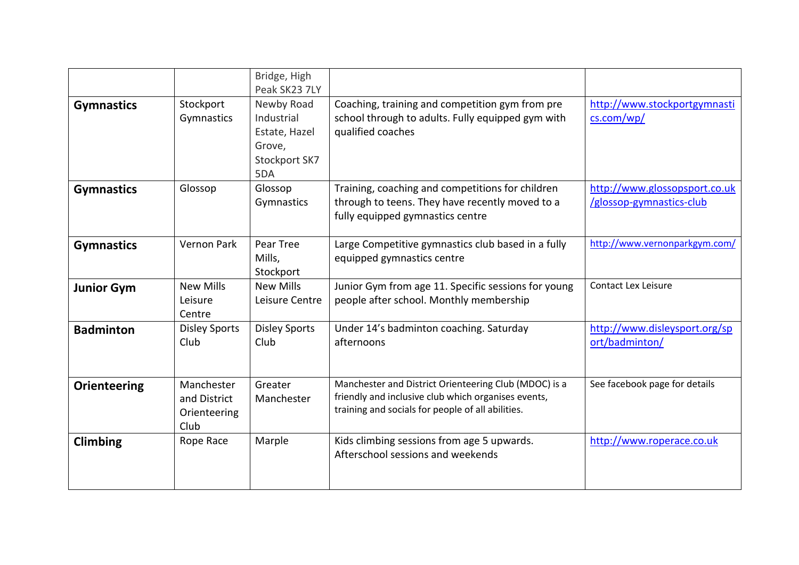|                     |                                                    | Bridge, High<br>Peak SK23 7LY                                               |                                                                                                                                                                   |                                                           |
|---------------------|----------------------------------------------------|-----------------------------------------------------------------------------|-------------------------------------------------------------------------------------------------------------------------------------------------------------------|-----------------------------------------------------------|
| <b>Gymnastics</b>   | Stockport<br>Gymnastics                            | Newby Road<br>Industrial<br>Estate, Hazel<br>Grove,<br>Stockport SK7<br>5DA | Coaching, training and competition gym from pre<br>school through to adults. Fully equipped gym with<br>qualified coaches                                         | http://www.stockportgymnasti<br>cs.com/wp/                |
| <b>Gymnastics</b>   | Glossop                                            | Glossop<br>Gymnastics                                                       | Training, coaching and competitions for children<br>through to teens. They have recently moved to a<br>fully equipped gymnastics centre                           | http://www.glossopsport.co.uk<br>/glossop-gymnastics-club |
| <b>Gymnastics</b>   | <b>Vernon Park</b>                                 | Pear Tree<br>Mills,<br>Stockport                                            | Large Competitive gymnastics club based in a fully<br>equipped gymnastics centre                                                                                  | http://www.vernonparkgym.com/                             |
| <b>Junior Gym</b>   | <b>New Mills</b><br>Leisure<br>Centre              | <b>New Mills</b><br>Leisure Centre                                          | Junior Gym from age 11. Specific sessions for young<br>people after school. Monthly membership                                                                    | <b>Contact Lex Leisure</b>                                |
| <b>Badminton</b>    | <b>Disley Sports</b><br>Club                       | <b>Disley Sports</b><br>Club                                                | Under 14's badminton coaching. Saturday<br>afternoons                                                                                                             | http://www.disleysport.org/sp<br>ort/badminton/           |
| <b>Orienteering</b> | Manchester<br>and District<br>Orienteering<br>Club | Greater<br>Manchester                                                       | Manchester and District Orienteering Club (MDOC) is a<br>friendly and inclusive club which organises events,<br>training and socials for people of all abilities. | See facebook page for details                             |
| <b>Climbing</b>     | Rope Race                                          | Marple                                                                      | Kids climbing sessions from age 5 upwards.<br>Afterschool sessions and weekends                                                                                   | http://www.roperace.co.uk                                 |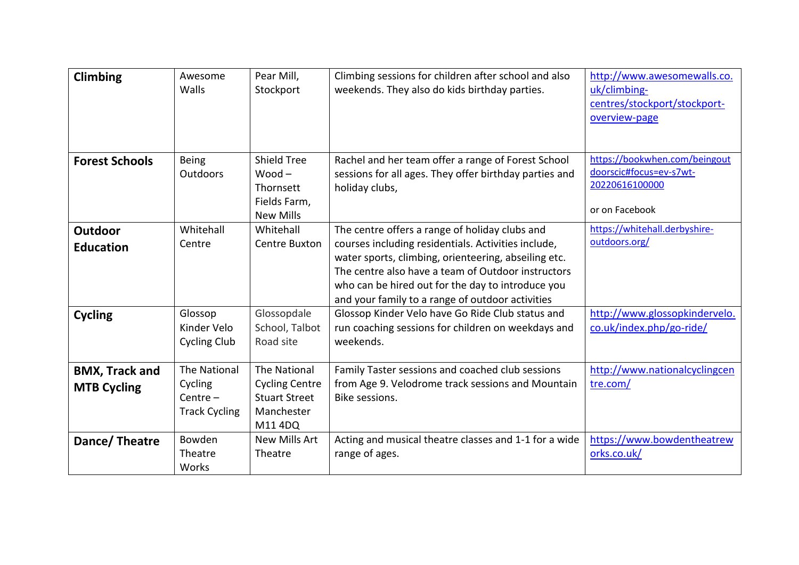| <b>Climbing</b>                             | Awesome<br>Walls                                                     | Pear Mill,<br>Stockport                                                                | Climbing sessions for children after school and also<br>weekends. They also do kids birthday parties.                                                                                                                                                                                                                        | http://www.awesomewalls.co.<br>uk/climbing-<br>centres/stockport/stockport-<br>overview-page |
|---------------------------------------------|----------------------------------------------------------------------|----------------------------------------------------------------------------------------|------------------------------------------------------------------------------------------------------------------------------------------------------------------------------------------------------------------------------------------------------------------------------------------------------------------------------|----------------------------------------------------------------------------------------------|
| <b>Forest Schools</b>                       | <b>Being</b><br>Outdoors                                             | <b>Shield Tree</b><br>$Wood -$<br><b>Thornsett</b><br>Fields Farm,<br><b>New Mills</b> | Rachel and her team offer a range of Forest School<br>sessions for all ages. They offer birthday parties and<br>holiday clubs,                                                                                                                                                                                               | https://bookwhen.com/beingout<br>doorscic#focus=ev-s7wt-<br>20220616100000<br>or on Facebook |
| Outdoor<br><b>Education</b>                 | Whitehall<br>Centre                                                  | Whitehall<br>Centre Buxton                                                             | The centre offers a range of holiday clubs and<br>courses including residentials. Activities include,<br>water sports, climbing, orienteering, abseiling etc.<br>The centre also have a team of Outdoor instructors<br>who can be hired out for the day to introduce you<br>and your family to a range of outdoor activities | https://whitehall.derbyshire-<br>outdoors.org/                                               |
| <b>Cycling</b>                              | Glossop<br>Kinder Velo<br><b>Cycling Club</b>                        | Glossopdale<br>School, Talbot<br>Road site                                             | Glossop Kinder Velo have Go Ride Club status and<br>run coaching sessions for children on weekdays and<br>weekends.                                                                                                                                                                                                          | http://www.glossopkindervelo.<br>co.uk/index.php/go-ride/                                    |
| <b>BMX, Track and</b><br><b>MTB Cycling</b> | <b>The National</b><br>Cycling<br>Centre $-$<br><b>Track Cycling</b> | The National<br><b>Cycling Centre</b><br><b>Stuart Street</b><br>Manchester<br>M114DQ  | Family Taster sessions and coached club sessions<br>from Age 9. Velodrome track sessions and Mountain<br>Bike sessions.                                                                                                                                                                                                      | http://www.nationalcyclingcen<br>tre.com/                                                    |
| Dance/Theatre                               | Bowden<br>Theatre<br>Works                                           | <b>New Mills Art</b><br>Theatre                                                        | Acting and musical theatre classes and 1-1 for a wide<br>range of ages.                                                                                                                                                                                                                                                      | https://www.bowdentheatrew<br>orks.co.uk/                                                    |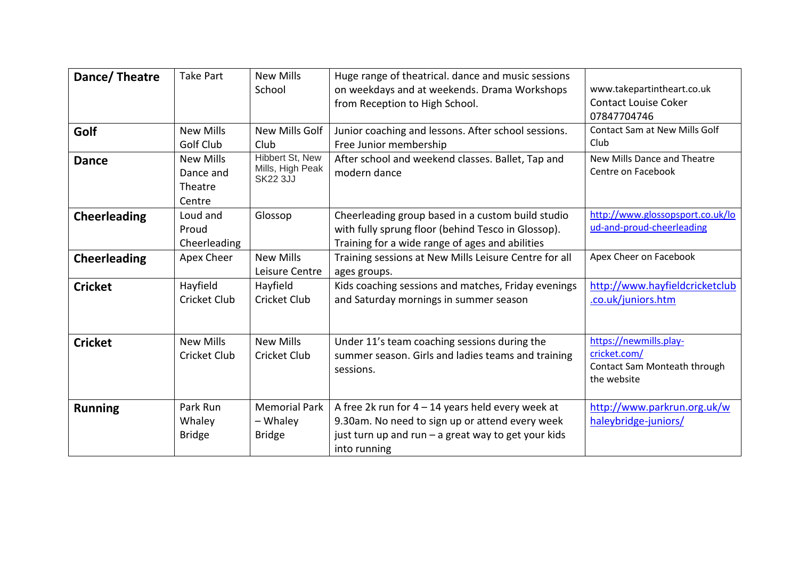| Dance/Theatre       | <b>Take Part</b>                                   | <b>New Mills</b><br>School                             | Huge range of theatrical. dance and music sessions<br>on weekdays and at weekends. Drama Workshops<br>from Reception to High School.                                          | www.takepartintheart.co.uk<br><b>Contact Louise Coker</b><br>07847704746              |
|---------------------|----------------------------------------------------|--------------------------------------------------------|-------------------------------------------------------------------------------------------------------------------------------------------------------------------------------|---------------------------------------------------------------------------------------|
| Golf                | <b>New Mills</b><br>Golf Club                      | New Mills Golf<br>Club                                 | Junior coaching and lessons. After school sessions.<br>Free Junior membership                                                                                                 | Contact Sam at New Mills Golf<br>Club                                                 |
| <b>Dance</b>        | <b>New Mills</b><br>Dance and<br>Theatre<br>Centre | Hibbert St, New<br>Mills, High Peak<br><b>SK22 3JJ</b> | After school and weekend classes. Ballet, Tap and<br>modern dance                                                                                                             | New Mills Dance and Theatre<br>Centre on Facebook                                     |
| <b>Cheerleading</b> | Loud and<br>Proud<br>Cheerleading                  | Glossop                                                | Cheerleading group based in a custom build studio<br>with fully sprung floor (behind Tesco in Glossop).<br>Training for a wide range of ages and abilities                    | http://www.glossopsport.co.uk/lo<br>ud-and-proud-cheerleading                         |
| <b>Cheerleading</b> | Apex Cheer                                         | <b>New Mills</b><br>Leisure Centre                     | Training sessions at New Mills Leisure Centre for all<br>ages groups.                                                                                                         | Apex Cheer on Facebook                                                                |
| <b>Cricket</b>      | Hayfield<br><b>Cricket Club</b>                    | Hayfield<br>Cricket Club                               | Kids coaching sessions and matches, Friday evenings<br>and Saturday mornings in summer season                                                                                 | http://www.hayfieldcricketclub<br>.co.uk/juniors.htm                                  |
| <b>Cricket</b>      | <b>New Mills</b><br>Cricket Club                   | <b>New Mills</b><br>Cricket Club                       | Under 11's team coaching sessions during the<br>summer season. Girls and ladies teams and training<br>sessions.                                                               | https://newmills.play-<br>cricket.com/<br>Contact Sam Monteath through<br>the website |
| <b>Running</b>      | Park Run<br>Whaley<br><b>Bridge</b>                | <b>Memorial Park</b><br>- Whaley<br><b>Bridge</b>      | A free 2k run for $4 - 14$ years held every week at<br>9.30am. No need to sign up or attend every week<br>just turn up and run - a great way to get your kids<br>into running | http://www.parkrun.org.uk/w<br>haleybridge-juniors/                                   |